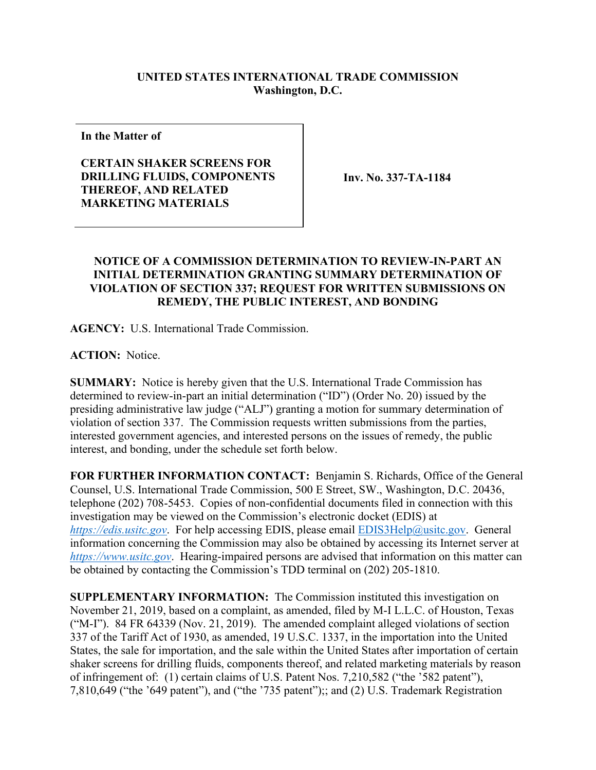## **UNITED STATES INTERNATIONAL TRADE COMMISSION Washington, D.C.**

**In the Matter of**

## **CERTAIN SHAKER SCREENS FOR DRILLING FLUIDS, COMPONENTS THEREOF, AND RELATED MARKETING MATERIALS**

**Inv. No. 337-TA-1184**

## **NOTICE OF A COMMISSION DETERMINATION TO REVIEW-IN-PART AN INITIAL DETERMINATION GRANTING SUMMARY DETERMINATION OF VIOLATION OF SECTION 337; REQUEST FOR WRITTEN SUBMISSIONS ON REMEDY, THE PUBLIC INTEREST, AND BONDING**

**AGENCY:** U.S. International Trade Commission.

**ACTION:** Notice.

**SUMMARY:** Notice is hereby given that the U.S. International Trade Commission has determined to review-in-part an initial determination ("ID") (Order No. 20) issued by the presiding administrative law judge ("ALJ") granting a motion for summary determination of violation of section 337. The Commission requests written submissions from the parties, interested government agencies, and interested persons on the issues of remedy, the public interest, and bonding, under the schedule set forth below.

**FOR FURTHER INFORMATION CONTACT:** Benjamin S. Richards, Office of the General Counsel, U.S. International Trade Commission, 500 E Street, SW., Washington, D.C. 20436, telephone (202) 708-5453. Copies of non-confidential documents filed in connection with this investigation may be viewed on the Commission's electronic docket (EDIS) at *[https://edis.usitc.gov](https://edis.usitc.gov/)*. For help accessing EDIS, please email [EDIS3Help@usitc.gov.](mailto:EDIS3Help@usitc.gov) General information concerning the Commission may also be obtained by accessing its Internet server at *[https://www.usitc.gov](https://www.usitc.gov/)*. Hearing-impaired persons are advised that information on this matter can be obtained by contacting the Commission's TDD terminal on (202) 205-1810.

**SUPPLEMENTARY INFORMATION:** The Commission instituted this investigation on November 21, 2019, based on a complaint, as amended, filed by M-I L.L.C. of Houston, Texas ("M-I"). 84 FR 64339 (Nov. 21, 2019). The amended complaint alleged violations of section 337 of the Tariff Act of 1930, as amended, 19 U.S.C. 1337, in the importation into the United States, the sale for importation, and the sale within the United States after importation of certain shaker screens for drilling fluids, components thereof, and related marketing materials by reason of infringement of: (1) certain claims of U.S. Patent Nos. 7,210,582 ("the '582 patent"), 7,810,649 ("the '649 patent"), and ("the '735 patent");; and (2) U.S. Trademark Registration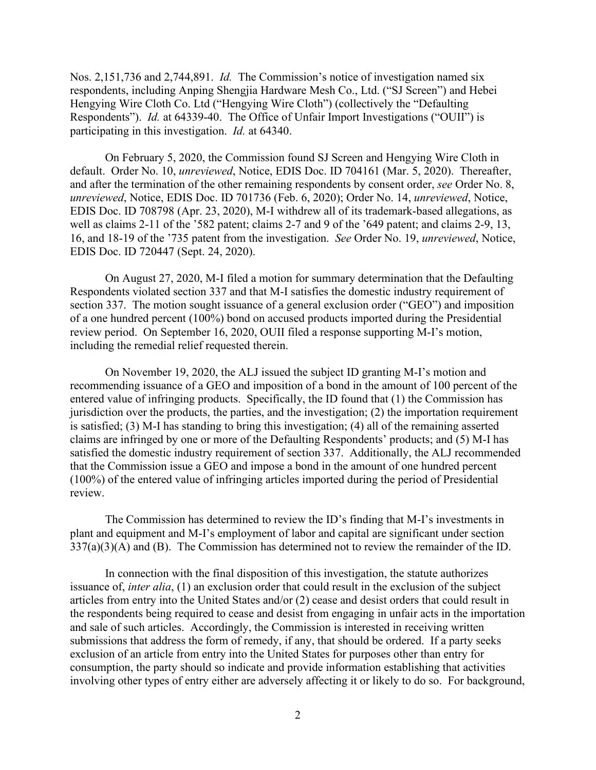Nos. 2,151,736 and 2,744,891. *Id.* The Commission's notice of investigation named six respondents, including Anping Shengjia Hardware Mesh Co., Ltd. ("SJ Screen") and Hebei Hengying Wire Cloth Co. Ltd ("Hengying Wire Cloth") (collectively the "Defaulting Respondents"). *Id.* at 64339-40. The Office of Unfair Import Investigations ("OUII") is participating in this investigation. *Id.* at 64340.

On February 5, 2020, the Commission found SJ Screen and Hengying Wire Cloth in default. Order No. 10, *unreviewed*, Notice, EDIS Doc. ID 704161 (Mar. 5, 2020). Thereafter, and after the termination of the other remaining respondents by consent order, *see* Order No. 8, *unreviewed*, Notice, EDIS Doc. ID 701736 (Feb. 6, 2020); Order No. 14, *unreviewed*, Notice, EDIS Doc. ID 708798 (Apr. 23, 2020), M-I withdrew all of its trademark-based allegations, as well as claims 2-11 of the '582 patent; claims 2-7 and 9 of the '649 patent; and claims 2-9, 13, 16, and 18-19 of the '735 patent from the investigation. *See* Order No. 19, *unreviewed*, Notice, EDIS Doc. ID 720447 (Sept. 24, 2020).

On August 27, 2020, M-I filed a motion for summary determination that the Defaulting Respondents violated section 337 and that M-I satisfies the domestic industry requirement of section 337. The motion sought issuance of a general exclusion order ("GEO") and imposition of a one hundred percent (100%) bond on accused products imported during the Presidential review period. On September 16, 2020, OUII filed a response supporting M-I's motion, including the remedial relief requested therein.

On November 19, 2020, the ALJ issued the subject ID granting M-I's motion and recommending issuance of a GEO and imposition of a bond in the amount of 100 percent of the entered value of infringing products. Specifically, the ID found that (1) the Commission has jurisdiction over the products, the parties, and the investigation; (2) the importation requirement is satisfied; (3) M-I has standing to bring this investigation; (4) all of the remaining asserted claims are infringed by one or more of the Defaulting Respondents' products; and (5) M-I has satisfied the domestic industry requirement of section 337. Additionally, the ALJ recommended that the Commission issue a GEO and impose a bond in the amount of one hundred percent (100%) of the entered value of infringing articles imported during the period of Presidential review.

The Commission has determined to review the ID's finding that M-I's investments in plant and equipment and M-I's employment of labor and capital are significant under section 337(a)(3)(A) and (B). The Commission has determined not to review the remainder of the ID.

In connection with the final disposition of this investigation, the statute authorizes issuance of, *inter alia*, (1) an exclusion order that could result in the exclusion of the subject articles from entry into the United States and/or (2) cease and desist orders that could result in the respondents being required to cease and desist from engaging in unfair acts in the importation and sale of such articles. Accordingly, the Commission is interested in receiving written submissions that address the form of remedy, if any, that should be ordered. If a party seeks exclusion of an article from entry into the United States for purposes other than entry for consumption, the party should so indicate and provide information establishing that activities involving other types of entry either are adversely affecting it or likely to do so. For background,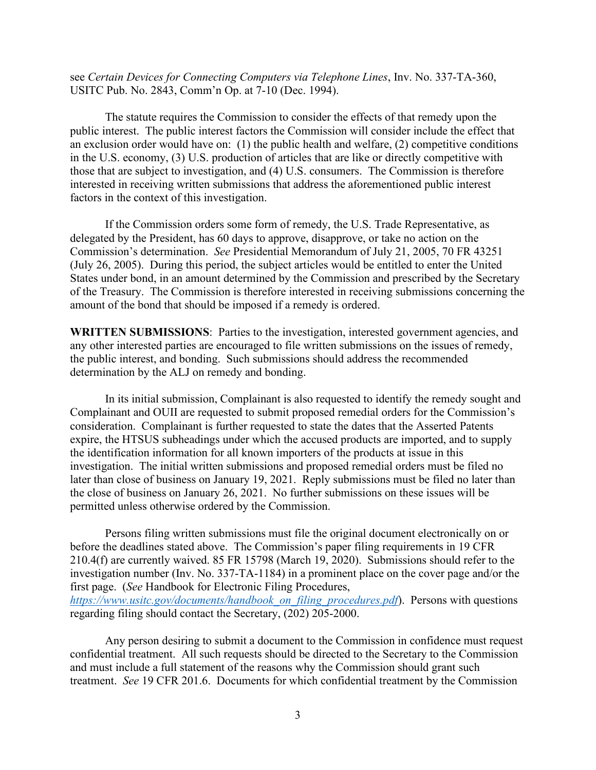see *Certain Devices for Connecting Computers via Telephone Lines*, Inv. No. 337-TA-360, USITC Pub. No. 2843, Comm'n Op. at 7-10 (Dec. 1994).

The statute requires the Commission to consider the effects of that remedy upon the public interest. The public interest factors the Commission will consider include the effect that an exclusion order would have on: (1) the public health and welfare, (2) competitive conditions in the U.S. economy, (3) U.S. production of articles that are like or directly competitive with those that are subject to investigation, and (4) U.S. consumers. The Commission is therefore interested in receiving written submissions that address the aforementioned public interest factors in the context of this investigation.

If the Commission orders some form of remedy, the U.S. Trade Representative, as delegated by the President, has 60 days to approve, disapprove, or take no action on the Commission's determination. *See* Presidential Memorandum of July 21, 2005, 70 FR 43251 (July 26, 2005). During this period, the subject articles would be entitled to enter the United States under bond, in an amount determined by the Commission and prescribed by the Secretary of the Treasury. The Commission is therefore interested in receiving submissions concerning the amount of the bond that should be imposed if a remedy is ordered.

**WRITTEN SUBMISSIONS**: Parties to the investigation, interested government agencies, and any other interested parties are encouraged to file written submissions on the issues of remedy, the public interest, and bonding. Such submissions should address the recommended determination by the ALJ on remedy and bonding.

In its initial submission, Complainant is also requested to identify the remedy sought and Complainant and OUII are requested to submit proposed remedial orders for the Commission's consideration. Complainant is further requested to state the dates that the Asserted Patents expire, the HTSUS subheadings under which the accused products are imported, and to supply the identification information for all known importers of the products at issue in this investigation. The initial written submissions and proposed remedial orders must be filed no later than close of business on January 19, 2021. Reply submissions must be filed no later than the close of business on January 26, 2021. No further submissions on these issues will be permitted unless otherwise ordered by the Commission.

Persons filing written submissions must file the original document electronically on or before the deadlines stated above. The Commission's paper filing requirements in 19 CFR 210.4(f) are currently waived. 85 FR 15798 (March 19, 2020). Submissions should refer to the investigation number (Inv. No. 337-TA-1184) in a prominent place on the cover page and/or the first page. (*See* Handbook for Electronic Filing Procedures, *[https://www.usitc.gov/documents/handbook\\_on\\_filing\\_procedures.pdf](https://www.usitc.gov/documents/handbook_on_filing_procedures.pdf)*). Persons with questions regarding filing should contact the Secretary, (202) 205-2000.

Any person desiring to submit a document to the Commission in confidence must request confidential treatment. All such requests should be directed to the Secretary to the Commission and must include a full statement of the reasons why the Commission should grant such treatment. *See* 19 CFR 201.6. Documents for which confidential treatment by the Commission